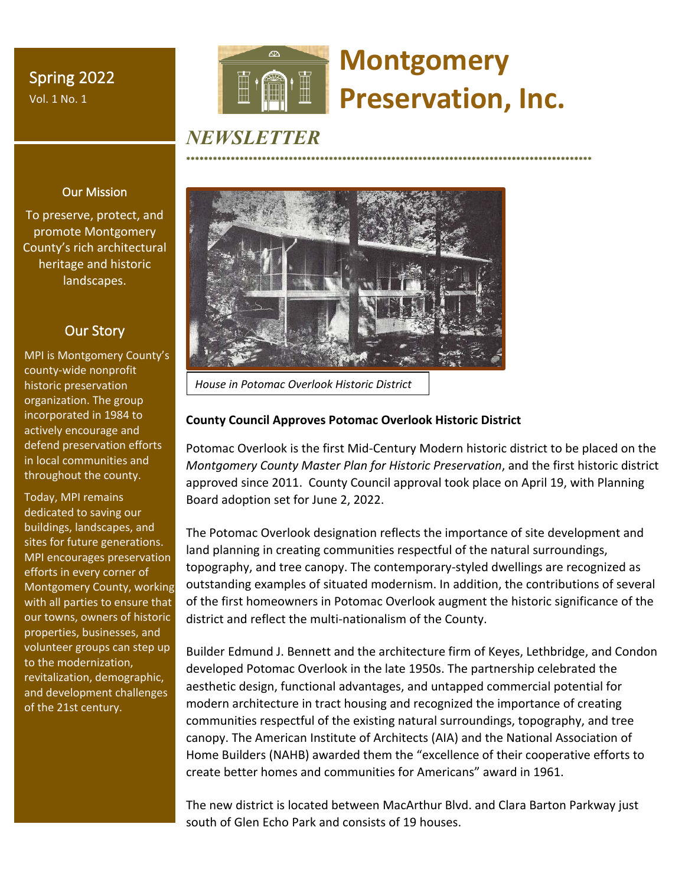Spring 2022 Vol. 1 No. 1



# **Montgomery Preservation, Inc.**

\*\*\*\*\*\*\*\*\*\*\*\*\*\*\*\*\*\*\*\*\*\*\*\*\*\*\*\*\*\*\*\*\*\*\*\*\*\*\*\*\*\*\*\*\*\*\*\*\*\*\*\*\*\*\*\*\*\*\*\*\*\*\*\*\*\*\*\*\*\*\*\*\*\*\*\*\*\*\*\*\*\*\*\*\*\*\*\*\*\*\*

# *NEWSLETTER*



*House in Potomac Overlook Historic District*

# **County Council Approves Potomac Overlook Historic District**

Potomac Overlook is the first Mid-Century Modern historic district to be placed on the *Montgomery County Master Plan for Historic Preservation*, and the first historic district approved since 2011. County Council approval took place on April 19, with Planning Board adoption set for June 2, 2022.

The Potomac Overlook designation reflects the importance of site development and land planning in creating communities respectful of the natural surroundings, topography, and tree canopy. The contemporary-styled dwellings are recognized as outstanding examples of situated modernism. In addition, the contributions of several of the first homeowners in Potomac Overlook augment the historic significance of the district and reflect the multi-nationalism of the County.

Builder Edmund J. Bennett and the architecture firm of Keyes, Lethbridge, and Condon developed Potomac Overlook in the late 1950s. The partnership celebrated the aesthetic design, functional advantages, and untapped commercial potential for modern architecture in tract housing and recognized the importance of creating communities respectful of the existing natural surroundings, topography, and tree canopy. The American Institute of Architects (AIA) and the National Association of Home Builders (NAHB) awarded them the "excellence of their cooperative efforts to create better homes and communities for Americans" award in 1961.

The new district is located between MacArthur Blvd. and Clara Barton Parkway just south of Glen Echo Park and consists of 19 houses.

# Our Mission

To preserve, protect, and promote Montgomery County's rich architectural heritage and historic landscapes.

# Our Story

MPI is Montgomery County's county-wide nonprofit historic preservation organization. The group incorporated in 1984 to actively encourage and defend preservation efforts in local communities and throughout the county.

Today, MPI remains dedicated to saving our buildings, landscapes, and sites for future generations. MPI encourages preservation efforts in every corner of Montgomery County, working with all parties to ensure that our towns, owners of historic properties, businesses, and volunteer groups can step up to the modernization, revitalization, demographic, and development challenges of the 21st century.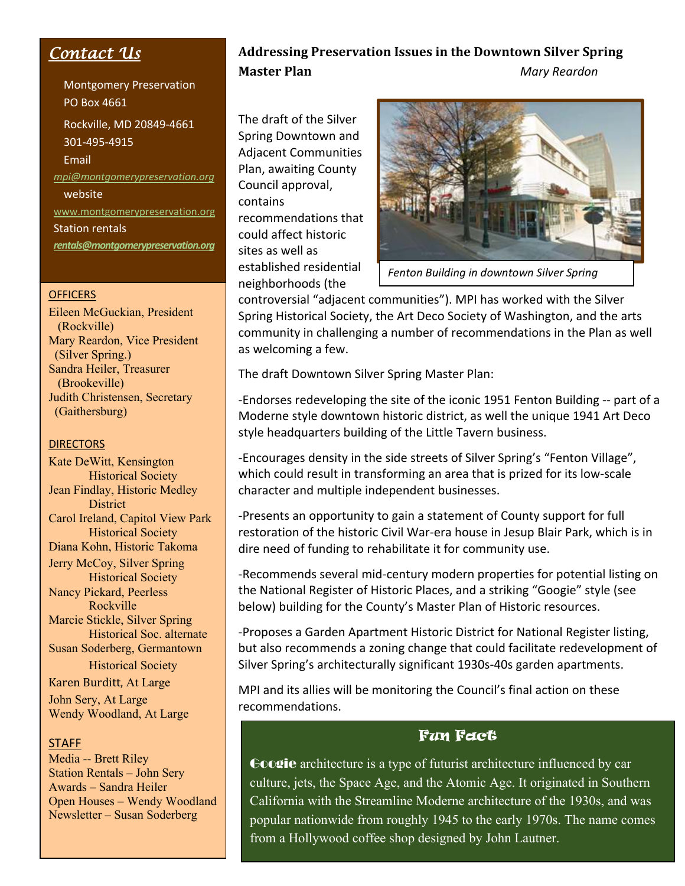# *Contact Us*

Montgomery Preservation PO Box 4661 Rockville, MD 20849-4661 301-495-4915 Email *mpi@montgomerypreservation.org*  website www.montgomerypreservation.org Station rentals *rentals@montgomerypreservation.org*

## **OFFICERS**

Eileen McGuckian, President (Rockville) Mary Reardon, Vice President (Silver Spring.) Sandra Heiler, Treasurer (Brookeville) Judith Christensen, Secretary (Gaithersburg)

## **DIRECTORS**

Kate DeWitt, Kensington Historical Society Jean Findlay, Historic Medley **District** Carol Ireland, Capitol View Park Historical Society Diana Kohn, Historic Takoma Jerry McCoy, Silver Spring Historical Society Nancy Pickard, Peerless Rockville Marcie Stickle, Silver Spring Historical Soc. alternate Susan Soderberg, Germantown Historical Society Karen Burditt, At Large

John Sery, At Large Wendy Woodland, At Large

### **STAFF**

Media -- Brett Riley Station Rentals – John Sery Awards – Sandra Heiler Open Houses – Wendy Woodland Newsletter – Susan Soderberg

# Addressing Preservation Issues in the Downtown Silver Spring **Master Plan** *Master Plan Mary Reardon*

The draft of the Silver Spring Downtown and Adjacent Communities Plan, awaiting County Council approval, contains recommendations that could affect historic sites as well as established residential neighborhoods (the



*Fenton Building in downtown Silver Spring*

controversial "adjacent communities"). MPI has worked with the Silver Spring Historical Society, the Art Deco Society of Washington, and the arts community in challenging a number of recommendations in the Plan as well as welcoming a few.

The draft Downtown Silver Spring Master Plan:

-Endorses redeveloping the site of the iconic 1951 Fenton Building -- part of a Moderne style downtown historic district, as well the unique 1941 Art Deco style headquarters building of the Little Tavern business.

-Encourages density in the side streets of Silver Spring's "Fenton Village", which could result in transforming an area that is prized for its low-scale character and multiple independent businesses.

-Presents an opportunity to gain a statement of County support for full restoration of the historic Civil War-era house in Jesup Blair Park, which is in dire need of funding to rehabilitate it for community use.

-Recommends several mid-century modern properties for potential listing on the National Register of Historic Places, and a striking "Googie" style (see below) building for the County's Master Plan of Historic resources.

-Proposes a Garden Apartment Historic District for National Register listing, but also recommends a zoning change that could facilitate redevelopment of Silver Spring's architecturally significant 1930s-40s garden apartments.

MPI and its allies will be monitoring the Council's final action on these recommendations.

# Fun Fact

Googie architecture is a type of futurist architecture influenced by car culture, jets, the Space Age, and the Atomic Age. It originated in Southern California with the Streamline Moderne architecture of the 1930s, and was popular nationwide from roughly 1945 to the early 1970s. The name comes from a Hollywood coffee shop designed by John Lautner.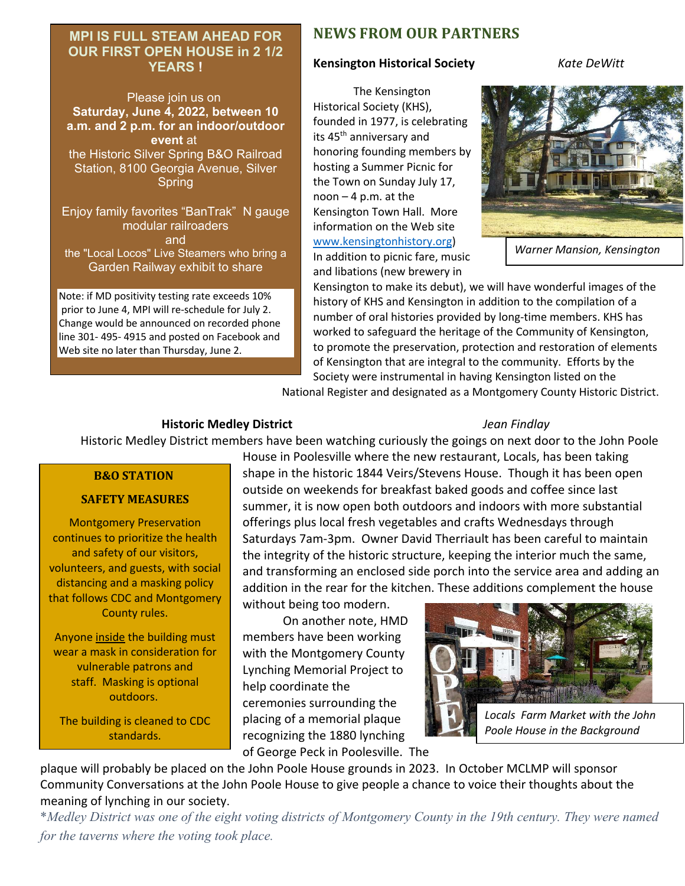# **MPI IS FULL STEAM AHEAD FOR OUR FIRST OPEN HOUSE in 2 1/2 YEARS !**

Please join us on **Saturday, June 4, 2022, between 10 a.m. and 2 p.m. for an indoor/outdoor event** at the Historic Silver Spring B&O Railroad Station, 8100 Georgia Avenue, Silver Spring

Enjoy family favorites "BanTrak" N gauge modular railroaders and the "Local Locos" Live Steamers who bring a Garden Railway exhibit to share

Note: if MD positivity testing rate exceeds 10% prior to June 4, MPI will re-schedule for July 2. Change would be announced on recorded phone line 301- 495- 4915 and posted on Facebook and Web site no later than Thursday, June 2.

# **NEWS FROM OUR PARTNERS**

# **Kensington Historical Society** *Kate DeWitt*

The Kensington Historical Society (KHS), founded in 1977, is celebrating its 45<sup>th</sup> anniversary and honoring founding members by hosting a Summer Picnic for the Town on Sunday July 17, noon – 4 p.m. at the Kensington Town Hall. More information on the Web site www.kensingtonhistory.org)

In addition to picnic fare, music and libations (new brewery in



*Warner Mansion, Kensington*

Kensington to make its debut), we will have wonderful images of the history of KHS and Kensington in addition to the compilation of a number of oral histories provided by long-time members. KHS has worked to safeguard the heritage of the Community of Kensington, to promote the preservation, protection and restoration of elements of Kensington that are integral to the community. Efforts by the Society were instrumental in having Kensington listed on the

National Register and designated as a Montgomery County Historic District.

# **Historic Medley District** *Jean Findlay*

Historic Medley District members have been watching curiously the goings on next door to the John Poole

### **B&O STATION**

### **SAFETY MEASURES**

Montgomery Preservation continues to prioritize the health and safety of our visitors, volunteers, and guests, with social distancing and a masking policy that follows CDC and Montgomery County rules.

Anyone inside the building must wear a mask in consideration for vulnerable patrons and staff. Masking is optional outdoors.

The building is cleaned to CDC standards.

House in Poolesville where the new restaurant, Locals, has been taking shape in the historic 1844 Veirs/Stevens House. Though it has been open outside on weekends for breakfast baked goods and coffee since last summer, it is now open both outdoors and indoors with more substantial offerings plus local fresh vegetables and crafts Wednesdays through Saturdays 7am-3pm. Owner David Therriault has been careful to maintain the integrity of the historic structure, keeping the interior much the same, and transforming an enclosed side porch into the service area and adding an addition in the rear for the kitchen. These additions complement the house without being too modern.

 On another note, HMD members have been working with the Montgomery County Lynching Memorial Project to help coordinate the ceremonies surrounding the placing of a memorial plaque recognizing the 1880 lynching of George Peck in Poolesville. The



plaque will probably be placed on the John Poole House grounds in 2023. In October MCLMP will sponsor Community Conversations at the John Poole House to give people a chance to voice their thoughts about the meaning of lynching in our society.

\**Medley District was one of the eight voting districts of Montgomery County in the 19th century. They were named for the taverns where the voting took place.*